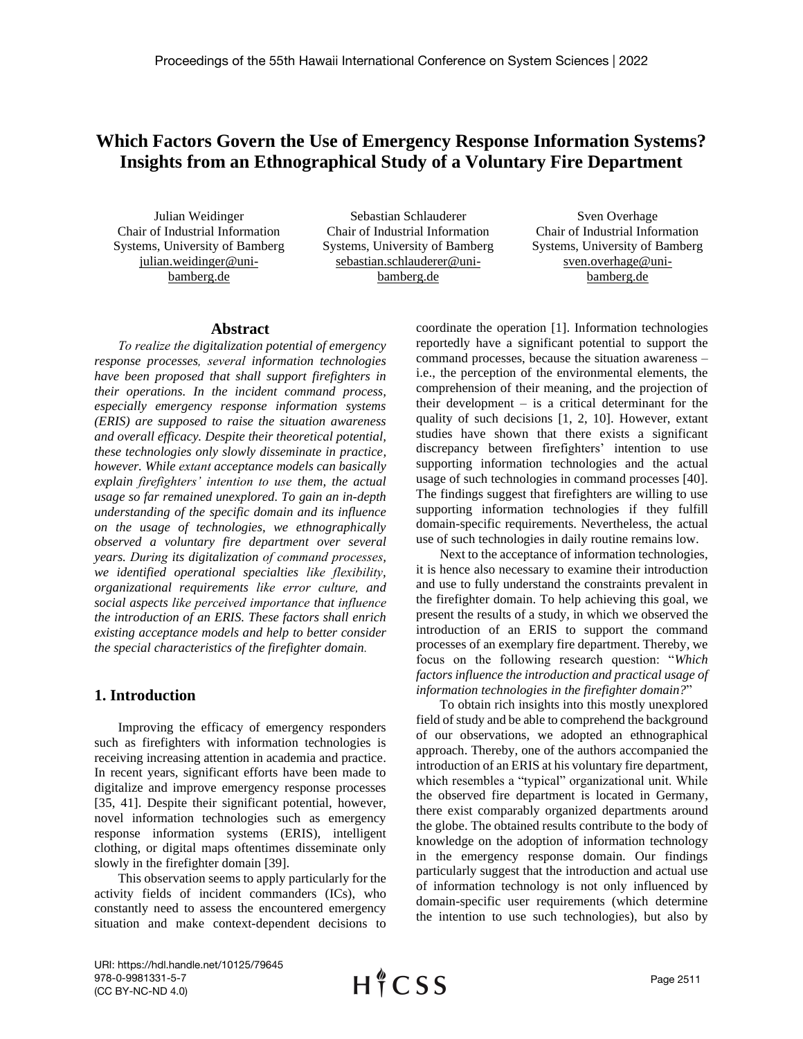# **Which Factors Govern the Use of Emergency Response Information Systems? Insights from an Ethnographical Study of a Voluntary Fire Department**

Julian Weidinger Chair of Industrial Information Systems, University of Bamberg julian.weidinger@unibamberg.de

Sebastian Schlauderer Chair of Industrial Information Systems, University of Bamberg sebastian.schlauderer@unibamberg.de

Sven Overhage Chair of Industrial Information Systems, University of Bamberg sven.overhage@unibamberg.de

#### **Abstract**

*To realize the digitalization potential of emergency response processes, several information technologies have been proposed that shall support firefighters in their operations. In the incident command process, especially emergency response information systems (ERIS) are supposed to raise the situation awareness and overall efficacy. Despite their theoretical potential, these technologies only slowly disseminate in practice, however. While extant acceptance models can basically explain firefighters' intention to use them, the actual usage so far remained unexplored. To gain an in-depth understanding of the specific domain and its influence on the usage of technologies, we ethnographically observed a voluntary fire department over several years. During its digitalization of command processes, we identified operational specialties like flexibility, organizational requirements like error culture, and social aspects like perceived importance that influence the introduction of an ERIS. These factors shall enrich existing acceptance models and help to better consider the special characteristics of the firefighter domain.*

### **1. Introduction**

Improving the efficacy of emergency responders such as firefighters with information technologies is receiving increasing attention in academia and practice. In recent years, significant efforts have been made to digitalize and improve emergency response processes [35, 41]. Despite their significant potential, however, novel information technologies such as emergency response information systems (ERIS), intelligent clothing, or digital maps oftentimes disseminate only slowly in the firefighter domain [39].

This observation seems to apply particularly for the activity fields of incident commanders (ICs), who constantly need to assess the encountered emergency situation and make context-dependent decisions to coordinate the operation [1]. Information technologies reportedly have a significant potential to support the command processes, because the situation awareness – i.e., the perception of the environmental elements, the comprehension of their meaning, and the projection of their development – is a critical determinant for the quality of such decisions [1, 2, 10]. However, extant studies have shown that there exists a significant discrepancy between firefighters' intention to use supporting information technologies and the actual usage of such technologies in command processes [40]. The findings suggest that firefighters are willing to use supporting information technologies if they fulfill domain-specific requirements. Nevertheless, the actual use of such technologies in daily routine remains low.

Next to the acceptance of information technologies, it is hence also necessary to examine their introduction and use to fully understand the constraints prevalent in the firefighter domain. To help achieving this goal, we present the results of a study, in which we observed the introduction of an ERIS to support the command processes of an exemplary fire department. Thereby, we focus on the following research question: "*Which factors influence the introduction and practical usage of information technologies in the firefighter domain?*"

To obtain rich insights into this mostly unexplored field of study and be able to comprehend the background of our observations, we adopted an ethnographical approach. Thereby, one of the authors accompanied the introduction of an ERIS at his voluntary fire department, which resembles a "typical" organizational unit. While the observed fire department is located in Germany, there exist comparably organized departments around the globe. The obtained results contribute to the body of knowledge on the adoption of information technology in the emergency response domain. Our findings particularly suggest that the introduction and actual use of information technology is not only influenced by domain-specific user requirements (which determine the intention to use such technologies), but also by

URI: https://hdl.handle.net/10125/79645 978-0-9981331-5-7 (CC BY-NC-ND 4.0)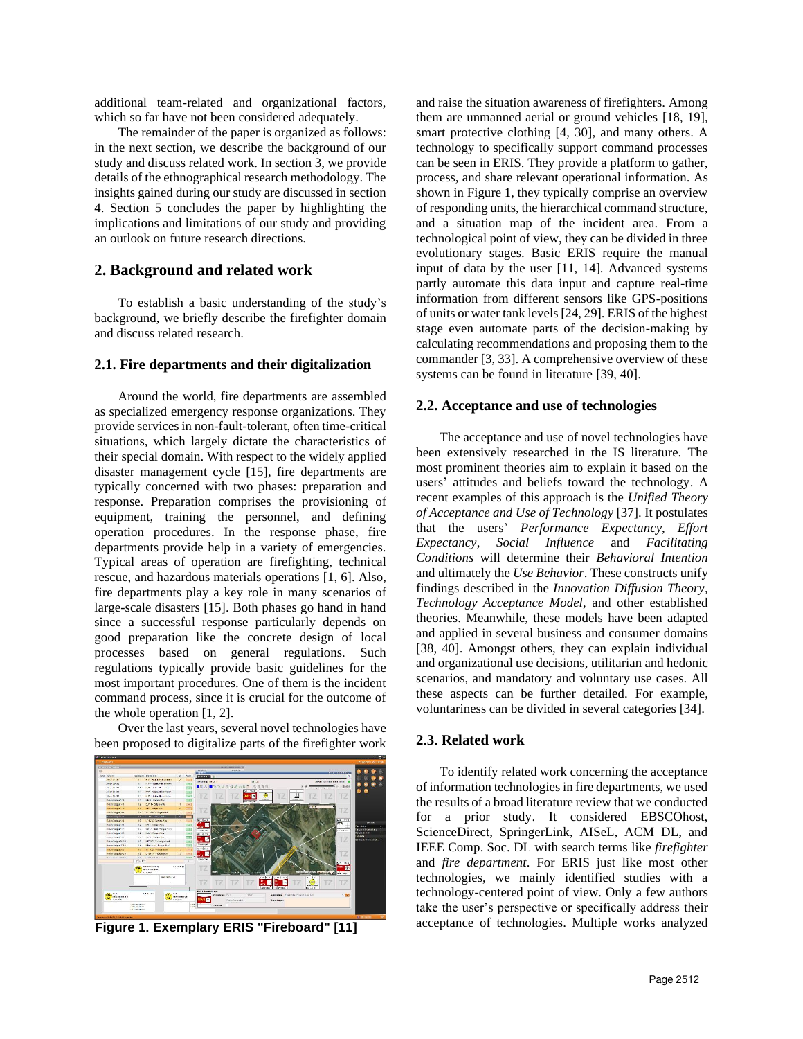additional team-related and organizational factors, which so far have not been considered adequately.

The remainder of the paper is organized as follows: in the next section, we describe the background of our study and discuss related work. In section 3, we provide details of the ethnographical research methodology. The insights gained during our study are discussed in section 4. Section 5 concludes the paper by highlighting the implications and limitations of our study and providing an outlook on future research directions.

### **2. Background and related work**

To establish a basic understanding of the study's background, we briefly describe the firefighter domain and discuss related research.

#### **2.1. Fire departments and their digitalization**

Around the world, fire departments are assembled as specialized emergency response organizations. They provide services in non-fault-tolerant, often time-critical situations, which largely dictate the characteristics of their special domain. With respect to the widely applied disaster management cycle [15], fire departments are typically concerned with two phases: preparation and response. Preparation comprises the provisioning of equipment, training the personnel, and defining operation procedures. In the response phase, fire departments provide help in a variety of emergencies. Typical areas of operation are firefighting, technical rescue, and hazardous materials operations [1, 6]. Also, fire departments play a key role in many scenarios of large-scale disasters [15]. Both phases go hand in hand since a successful response particularly depends on good preparation like the concrete design of local processes based on general regulations. Such regulations typically provide basic guidelines for the most important procedures. One of them is the incident command process, since it is crucial for the outcome of the whole operation [1, 2].

Over the last years, several novel technologies have been proposed to digitalize parts of the firefighter work



and raise the situation awareness of firefighters. Among them are unmanned aerial or ground vehicles [18, 19], smart protective clothing [4, 30], and many others. A technology to specifically support command processes can be seen in ERIS. They provide a platform to gather, process, and share relevant operational information. As shown in Figure 1, they typically comprise an overview of responding units, the hierarchical command structure, and a situation map of the incident area. From a technological point of view, they can be divided in three evolutionary stages. Basic ERIS require the manual input of data by the user [11, 14]. Advanced systems partly automate this data input and capture real-time information from different sensors like GPS-positions of units or water tank levels [24, 29]. ERIS of the highest stage even automate parts of the decision-making by calculating recommendations and proposing them to the commander [3, 33]. A comprehensive overview of these systems can be found in literature [39, 40].

#### **2.2. Acceptance and use of technologies**

The acceptance and use of novel technologies have been extensively researched in the IS literature. The most prominent theories aim to explain it based on the users' attitudes and beliefs toward the technology. A recent examples of this approach is the *Unified Theory of Acceptance and Use of Technology* [37]. It postulates that the users' *Performance Expectancy*, *Effort Expectancy*, *Social Influence* and *Facilitating Conditions* will determine their *Behavioral Intention* and ultimately the *Use Behavior*. These constructs unify findings described in the *Innovation Diffusion Theory, Technology Acceptance Model*, and other established theories. Meanwhile, these models have been adapted and applied in several business and consumer domains [38, 40]. Amongst others, they can explain individual and organizational use decisions, utilitarian and hedonic scenarios, and mandatory and voluntary use cases. All these aspects can be further detailed. For example, voluntariness can be divided in several categories [34].

#### **2.3. Related work**

To identify related work concerning the acceptance of information technologies in fire departments, we used the results of a broad literature review that we conducted for a prior study. It considered EBSCOhost, ScienceDirect, SpringerLink, AISeL, ACM DL, and IEEE Comp. Soc. DL with search terms like *firefighter* and *fire department*. For ERIS just like most other technologies, we mainly identified studies with a technology-centered point of view. Only a few authors take the user's perspective or specifically address their **Figure 1. Exemplary ERIS "Fireboard" [11]** acceptance of technologies. Multiple works analyzed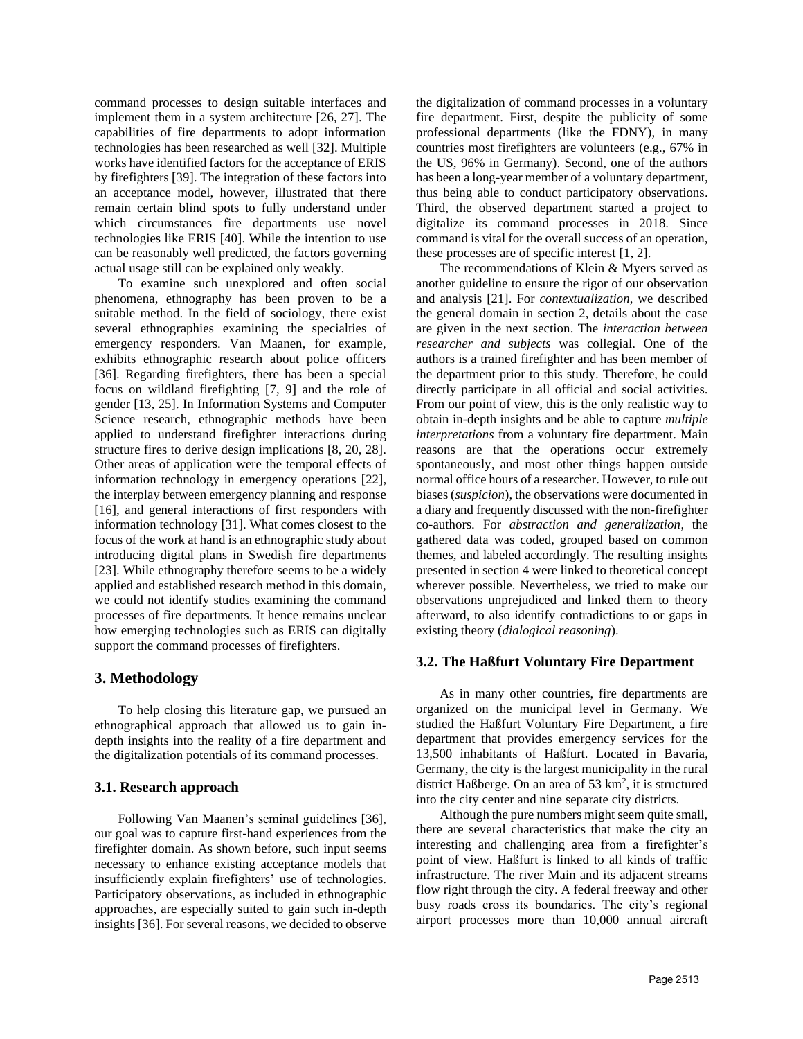command processes to design suitable interfaces and implement them in a system architecture [26, 27]. The capabilities of fire departments to adopt information technologies has been researched as well [32]. Multiple works have identified factors for the acceptance of ERIS by firefighters [39]. The integration of these factors into an acceptance model, however, illustrated that there remain certain blind spots to fully understand under which circumstances fire departments use novel technologies like ERIS [40]. While the intention to use can be reasonably well predicted, the factors governing actual usage still can be explained only weakly.

To examine such unexplored and often social phenomena, ethnography has been proven to be a suitable method. In the field of sociology, there exist several ethnographies examining the specialties of emergency responders. Van Maanen, for example, exhibits ethnographic research about police officers [36]. Regarding firefighters, there has been a special focus on wildland firefighting [7, 9] and the role of gender [13, 25]. In Information Systems and Computer Science research, ethnographic methods have been applied to understand firefighter interactions during structure fires to derive design implications [8, 20, 28]. Other areas of application were the temporal effects of information technology in emergency operations [22], the interplay between emergency planning and response [16], and general interactions of first responders with information technology [31]. What comes closest to the focus of the work at hand is an ethnographic study about introducing digital plans in Swedish fire departments [23]. While ethnography therefore seems to be a widely applied and established research method in this domain, we could not identify studies examining the command processes of fire departments. It hence remains unclear how emerging technologies such as ERIS can digitally support the command processes of firefighters.

### **3. Methodology**

To help closing this literature gap, we pursued an ethnographical approach that allowed us to gain indepth insights into the reality of a fire department and the digitalization potentials of its command processes.

### **3.1. Research approach**

Following Van Maanen's seminal guidelines [36], our goal was to capture first-hand experiences from the firefighter domain. As shown before, such input seems necessary to enhance existing acceptance models that insufficiently explain firefighters' use of technologies. Participatory observations, as included in ethnographic approaches, are especially suited to gain such in-depth insights [36]. For several reasons, we decided to observe

the digitalization of command processes in a voluntary fire department. First, despite the publicity of some professional departments (like the FDNY), in many countries most firefighters are volunteers (e.g., 67% in the US, 96% in Germany). Second, one of the authors has been a long-year member of a voluntary department, thus being able to conduct participatory observations. Third, the observed department started a project to digitalize its command processes in 2018. Since command is vital for the overall success of an operation, these processes are of specific interest [1, 2].

The recommendations of Klein & Myers served as another guideline to ensure the rigor of our observation and analysis [21]. For *contextualization*, we described the general domain in section 2, details about the case are given in the next section. The *interaction between researcher and subjects* was collegial. One of the authors is a trained firefighter and has been member of the department prior to this study. Therefore, he could directly participate in all official and social activities. From our point of view, this is the only realistic way to obtain in-depth insights and be able to capture *multiple interpretations* from a voluntary fire department. Main reasons are that the operations occur extremely spontaneously, and most other things happen outside normal office hours of a researcher. However, to rule out biases (*suspicion*), the observations were documented in a diary and frequently discussed with the non-firefighter co-authors. For *abstraction and generalization*, the gathered data was coded, grouped based on common themes, and labeled accordingly. The resulting insights presented in section 4 were linked to theoretical concept wherever possible. Nevertheless, we tried to make our observations unprejudiced and linked them to theory afterward, to also identify contradictions to or gaps in existing theory (*dialogical reasoning*).

#### **3.2. The Haßfurt Voluntary Fire Department**

As in many other countries, fire departments are organized on the municipal level in Germany. We studied the Haßfurt Voluntary Fire Department, a fire department that provides emergency services for the 13,500 inhabitants of Haßfurt. Located in Bavaria, Germany, the city is the largest municipality in the rural district Haßberge. On an area of 53  $km^2$ , it is structured into the city center and nine separate city districts.

Although the pure numbers might seem quite small, there are several characteristics that make the city an interesting and challenging area from a firefighter's point of view. Haßfurt is linked to all kinds of traffic infrastructure. The river Main and its adjacent streams flow right through the city. A federal freeway and other busy roads cross its boundaries. The city's regional airport processes more than 10,000 annual aircraft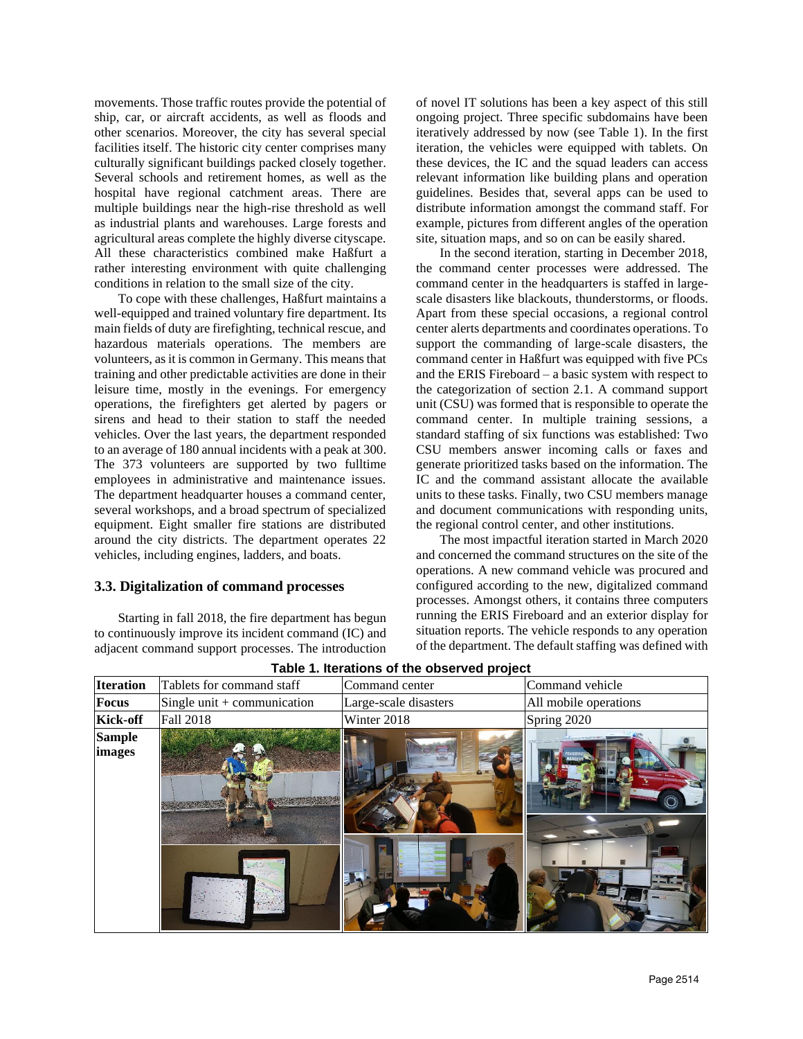movements. Those traffic routes provide the potential of ship, car, or aircraft accidents, as well as floods and other scenarios. Moreover, the city has several special facilities itself. The historic city center comprises many culturally significant buildings packed closely together. Several schools and retirement homes, as well as the hospital have regional catchment areas. There are multiple buildings near the high-rise threshold as well as industrial plants and warehouses. Large forests and agricultural areas complete the highly diverse cityscape. All these characteristics combined make Haßfurt a rather interesting environment with quite challenging conditions in relation to the small size of the city.

To cope with these challenges, Haßfurt maintains a well-equipped and trained voluntary fire department. Its main fields of duty are firefighting, technical rescue, and hazardous materials operations. The members are volunteers, as it is common in Germany. This means that training and other predictable activities are done in their leisure time, mostly in the evenings. For emergency operations, the firefighters get alerted by pagers or sirens and head to their station to staff the needed vehicles. Over the last years, the department responded to an average of 180 annual incidents with a peak at 300. The 373 volunteers are supported by two fulltime employees in administrative and maintenance issues. The department headquarter houses a command center, several workshops, and a broad spectrum of specialized equipment. Eight smaller fire stations are distributed around the city districts. The department operates 22 vehicles, including engines, ladders, and boats.

#### **3.3. Digitalization of command processes**

Starting in fall 2018, the fire department has begun to continuously improve its incident command (IC) and adjacent command support processes. The introduction

of novel IT solutions has been a key aspect of this still ongoing project. Three specific subdomains have been iteratively addressed by now (see Table 1). In the first iteration, the vehicles were equipped with tablets. On these devices, the IC and the squad leaders can access relevant information like building plans and operation guidelines. Besides that, several apps can be used to distribute information amongst the command staff. For example, pictures from different angles of the operation site, situation maps, and so on can be easily shared.

In the second iteration, starting in December 2018, the command center processes were addressed. The command center in the headquarters is staffed in largescale disasters like blackouts, thunderstorms, or floods. Apart from these special occasions, a regional control center alerts departments and coordinates operations. To support the commanding of large-scale disasters, the command center in Haßfurt was equipped with five PCs and the ERIS Fireboard – a basic system with respect to the categorization of section 2.1. A command support unit (CSU) was formed that is responsible to operate the command center. In multiple training sessions, a standard staffing of six functions was established: Two CSU members answer incoming calls or faxes and generate prioritized tasks based on the information. The IC and the command assistant allocate the available units to these tasks. Finally, two CSU members manage and document communications with responding units, the regional control center, and other institutions.

The most impactful iteration started in March 2020 and concerned the command structures on the site of the operations. A new command vehicle was procured and configured according to the new, digitalized command processes. Amongst others, it contains three computers running the ERIS Fireboard and an exterior display for situation reports. The vehicle responds to any operation of the department. The default staffing was defined with

| <b>TADIO II INCIDIOIIS OF THE ODSUPPED PLOTED</b> |                               |                       |                       |
|---------------------------------------------------|-------------------------------|-----------------------|-----------------------|
| <b>Iteration</b>                                  | Tablets for command staff     | Command center        | Command vehicle       |
| <b>Focus</b>                                      | Single unit $+$ communication | Large-scale disasters | All mobile operations |
| <b>Kick-off</b>                                   | Fall 2018                     | Winter 2018           | Spring 2020           |
| <b>Sample</b><br>images                           |                               |                       |                       |

**Table 1. Iterations of the observed project**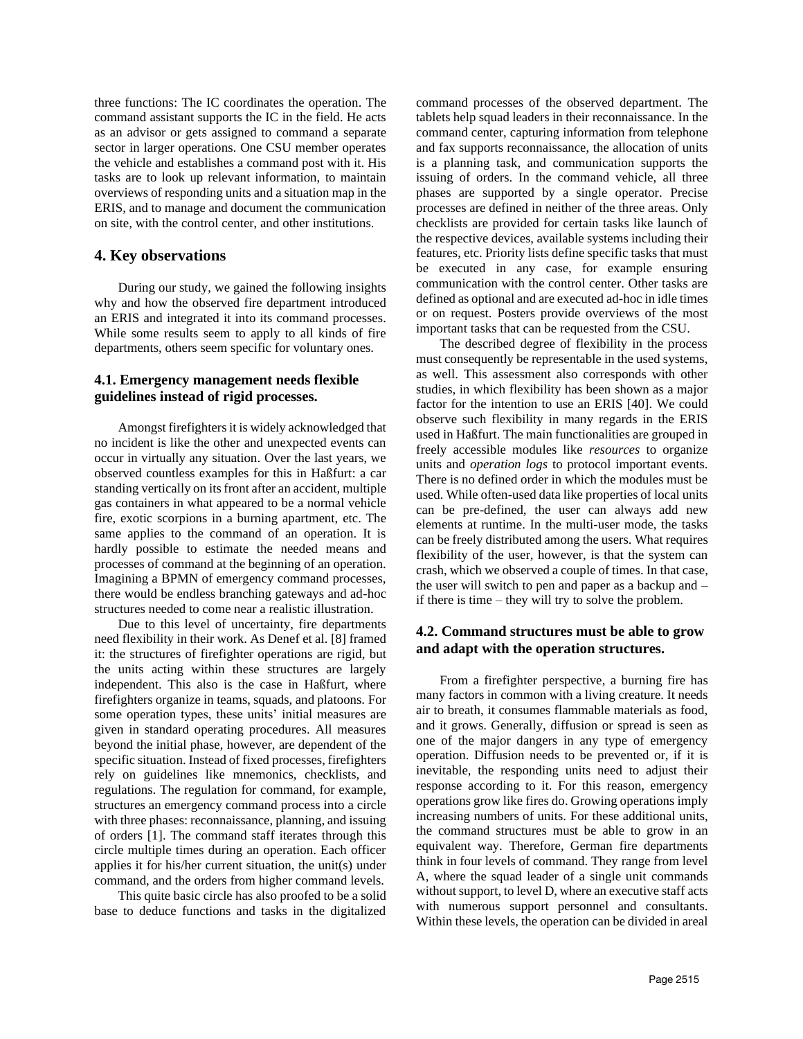three functions: The IC coordinates the operation. The command assistant supports the IC in the field. He acts as an advisor or gets assigned to command a separate sector in larger operations. One CSU member operates the vehicle and establishes a command post with it. His tasks are to look up relevant information, to maintain overviews of responding units and a situation map in the ERIS, and to manage and document the communication on site, with the control center, and other institutions.

### **4. Key observations**

During our study, we gained the following insights why and how the observed fire department introduced an ERIS and integrated it into its command processes. While some results seem to apply to all kinds of fire departments, others seem specific for voluntary ones.

### **4.1. Emergency management needs flexible guidelines instead of rigid processes.**

Amongst firefighters it is widely acknowledged that no incident is like the other and unexpected events can occur in virtually any situation. Over the last years, we observed countless examples for this in Haßfurt: a car standing vertically on its front after an accident, multiple gas containers in what appeared to be a normal vehicle fire, exotic scorpions in a burning apartment, etc. The same applies to the command of an operation. It is hardly possible to estimate the needed means and processes of command at the beginning of an operation. Imagining a BPMN of emergency command processes, there would be endless branching gateways and ad-hoc structures needed to come near a realistic illustration.

Due to this level of uncertainty, fire departments need flexibility in their work. As Denef et al. [8] framed it: the structures of firefighter operations are rigid, but the units acting within these structures are largely independent. This also is the case in Haßfurt, where firefighters organize in teams, squads, and platoons. For some operation types, these units' initial measures are given in standard operating procedures. All measures beyond the initial phase, however, are dependent of the specific situation. Instead of fixed processes, firefighters rely on guidelines like mnemonics, checklists, and regulations. The regulation for command, for example, structures an emergency command process into a circle with three phases: reconnaissance, planning, and issuing of orders [1]. The command staff iterates through this circle multiple times during an operation. Each officer applies it for his/her current situation, the unit(s) under command, and the orders from higher command levels.

This quite basic circle has also proofed to be a solid base to deduce functions and tasks in the digitalized

command processes of the observed department. The tablets help squad leaders in their reconnaissance. In the command center, capturing information from telephone and fax supports reconnaissance, the allocation of units is a planning task, and communication supports the issuing of orders. In the command vehicle, all three phases are supported by a single operator. Precise processes are defined in neither of the three areas. Only checklists are provided for certain tasks like launch of the respective devices, available systems including their features, etc. Priority lists define specific tasks that must be executed in any case, for example ensuring communication with the control center. Other tasks are defined as optional and are executed ad-hoc in idle times or on request. Posters provide overviews of the most important tasks that can be requested from the CSU.

The described degree of flexibility in the process must consequently be representable in the used systems, as well. This assessment also corresponds with other studies, in which flexibility has been shown as a major factor for the intention to use an ERIS [40]. We could observe such flexibility in many regards in the ERIS used in Haßfurt. The main functionalities are grouped in freely accessible modules like *resources* to organize units and *operation logs* to protocol important events. There is no defined order in which the modules must be used. While often-used data like properties of local units can be pre-defined, the user can always add new elements at runtime. In the multi-user mode, the tasks can be freely distributed among the users. What requires flexibility of the user, however, is that the system can crash, which we observed a couple of times. In that case, the user will switch to pen and paper as a backup and – if there is time – they will try to solve the problem.

### **4.2. Command structures must be able to grow and adapt with the operation structures.**

From a firefighter perspective, a burning fire has many factors in common with a living creature. It needs air to breath, it consumes flammable materials as food, and it grows. Generally, diffusion or spread is seen as one of the major dangers in any type of emergency operation. Diffusion needs to be prevented or, if it is inevitable, the responding units need to adjust their response according to it. For this reason, emergency operations grow like fires do. Growing operations imply increasing numbers of units. For these additional units, the command structures must be able to grow in an equivalent way. Therefore, German fire departments think in four levels of command. They range from level A, where the squad leader of a single unit commands without support, to level D, where an executive staff acts with numerous support personnel and consultants. Within these levels, the operation can be divided in areal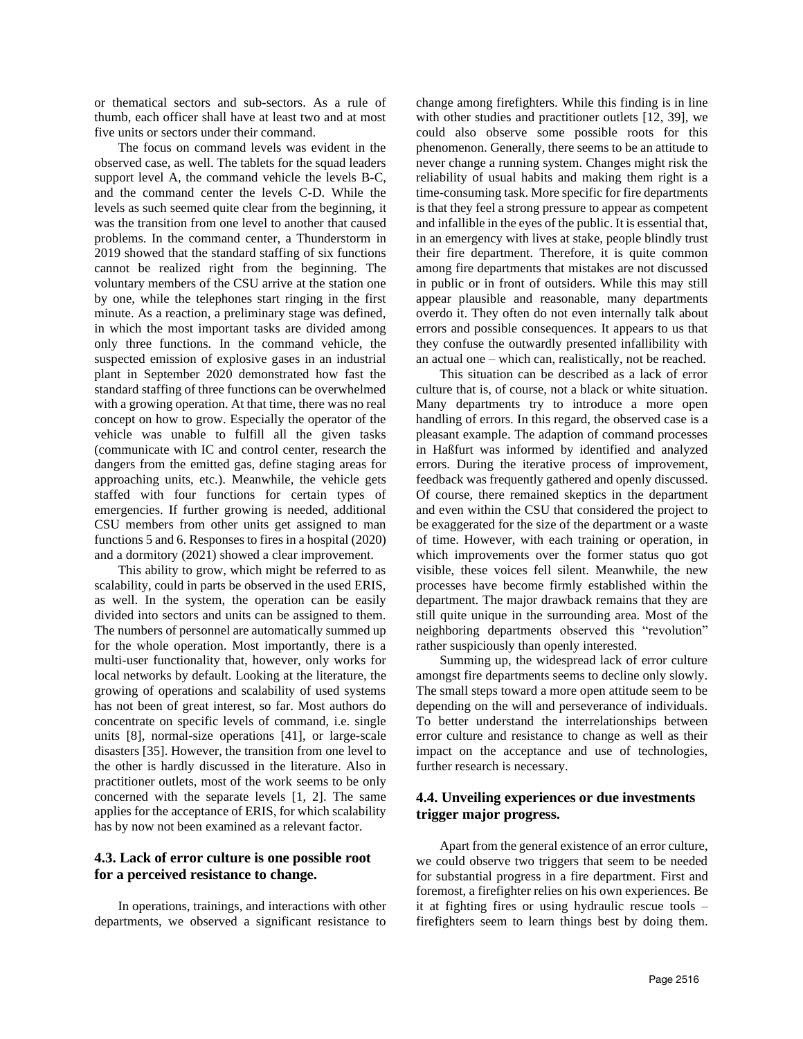or thematical sectors and sub-sectors. As a rule of thumb, each officer shall have at least two and at most five units or sectors under their command.

The focus on command levels was evident in the observed case, as well. The tablets for the squad leaders support level A, the command vehicle the levels B-C, and the command center the levels C-D. While the levels as such seemed quite clear from the beginning, it was the transition from one level to another that caused problems. In the command center, a Thunderstorm in 2019 showed that the standard staffing of six functions cannot be realized right from the beginning. The voluntary members of the CSU arrive at the station one by one, while the telephones start ringing in the first minute. As a reaction, a preliminary stage was defined, in which the most important tasks are divided among only three functions. In the command vehicle, the suspected emission of explosive gases in an industrial plant in September 2020 demonstrated how fast the standard staffing of three functions can be overwhelmed with a growing operation. At that time, there was no real concept on how to grow. Especially the operator of the vehicle was unable to fulfill all the given tasks (communicate with IC and control center, research the dangers from the emitted gas, define staging areas for approaching units, etc.). Meanwhile, the vehicle gets staffed with four functions for certain types of emergencies. If further growing is needed, additional CSU members from other units get assigned to man functions 5 and 6. Responses to fires in a hospital (2020) and a dormitory (2021) showed a clear improvement.

This ability to grow, which might be referred to as scalability, could in parts be observed in the used ERIS, as well. In the system, the operation can be easily divided into sectors and units can be assigned to them. The numbers of personnel are automatically summed up for the whole operation. Most importantly, there is a multi-user functionality that, however, only works for local networks by default. Looking at the literature, the growing of operations and scalability of used systems has not been of great interest, so far. Most authors do concentrate on specific levels of command, i.e. single units [8], normal-size operations [41], or large-scale disasters [35]. However, the transition from one level to the other is hardly discussed in the literature. Also in practitioner outlets, most of the work seems to be only concerned with the separate levels [1, 2]. The same applies for the acceptance of ERIS, for which scalability has by now not been examined as a relevant factor.

#### **4.3. Lack of error culture is one possible root for a perceived resistance to change.**

In operations, trainings, and interactions with other departments, we observed a significant resistance to change among firefighters. While this finding is in line with other studies and practitioner outlets [12, 39], we could also observe some possible roots for this phenomenon. Generally, there seems to be an attitude to never change a running system. Changes might risk the reliability of usual habits and making them right is a time-consuming task. More specific for fire departments is that they feel a strong pressure to appear as competent and infallible in the eyes of the public. It is essential that, in an emergency with lives at stake, people blindly trust their fire department. Therefore, it is quite common among fire departments that mistakes are not discussed in public or in front of outsiders. While this may still appear plausible and reasonable, many departments overdo it. They often do not even internally talk about errors and possible consequences. It appears to us that they confuse the outwardly presented infallibility with an actual one – which can, realistically, not be reached.

This situation can be described as a lack of error culture that is, of course, not a black or white situation. Many departments try to introduce a more open handling of errors. In this regard, the observed case is a pleasant example. The adaption of command processes in Haßfurt was informed by identified and analyzed errors. During the iterative process of improvement, feedback was frequently gathered and openly discussed. Of course, there remained skeptics in the department and even within the CSU that considered the project to be exaggerated for the size of the department or a waste of time. However, with each training or operation, in which improvements over the former status quo got visible, these voices fell silent. Meanwhile, the new processes have become firmly established within the department. The major drawback remains that they are still quite unique in the surrounding area. Most of the neighboring departments observed this "revolution" rather suspiciously than openly interested.

Summing up, the widespread lack of error culture amongst fire departments seems to decline only slowly. The small steps toward a more open attitude seem to be depending on the will and perseverance of individuals. To better understand the interrelationships between error culture and resistance to change as well as their impact on the acceptance and use of technologies, further research is necessary.

### **4.4. Unveiling experiences or due investments trigger major progress.**

Apart from the general existence of an error culture, we could observe two triggers that seem to be needed for substantial progress in a fire department. First and foremost, a firefighter relies on his own experiences. Be it at fighting fires or using hydraulic rescue tools – firefighters seem to learn things best by doing them.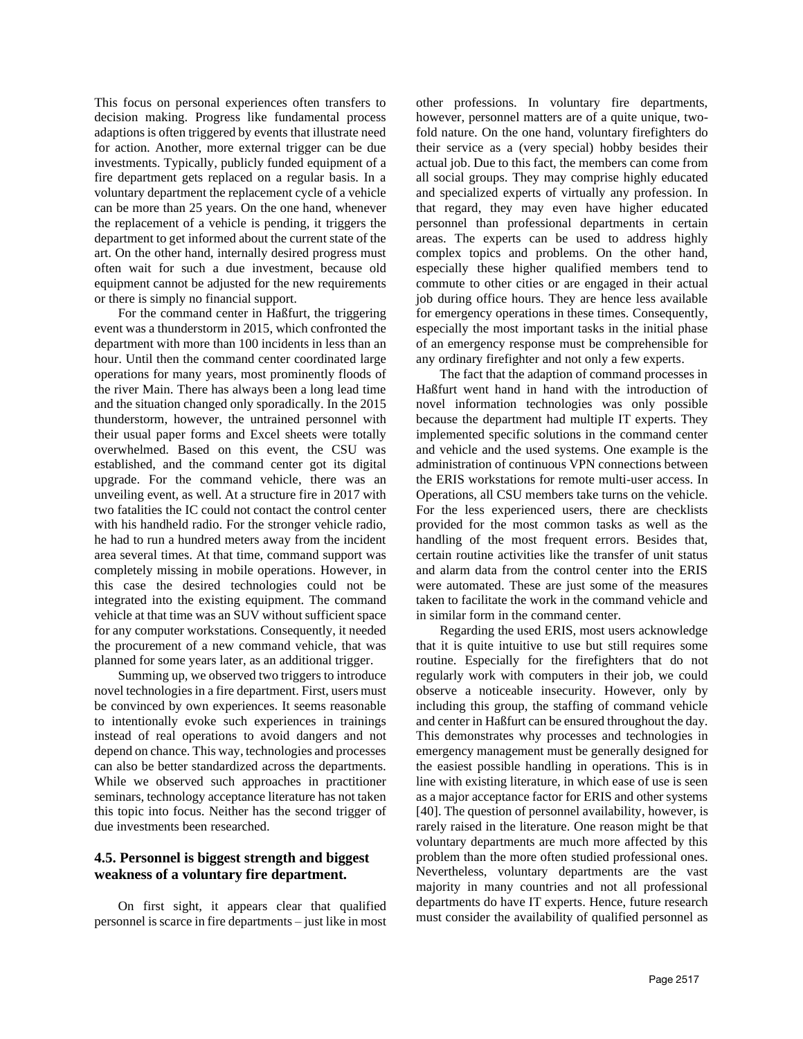This focus on personal experiences often transfers to decision making. Progress like fundamental process adaptions is often triggered by events that illustrate need for action. Another, more external trigger can be due investments. Typically, publicly funded equipment of a fire department gets replaced on a regular basis. In a voluntary department the replacement cycle of a vehicle can be more than 25 years. On the one hand, whenever the replacement of a vehicle is pending, it triggers the department to get informed about the current state of the art. On the other hand, internally desired progress must often wait for such a due investment, because old equipment cannot be adjusted for the new requirements or there is simply no financial support.

For the command center in Haßfurt, the triggering event was a thunderstorm in 2015, which confronted the department with more than 100 incidents in less than an hour. Until then the command center coordinated large operations for many years, most prominently floods of the river Main. There has always been a long lead time and the situation changed only sporadically. In the 2015 thunderstorm, however, the untrained personnel with their usual paper forms and Excel sheets were totally overwhelmed. Based on this event, the CSU was established, and the command center got its digital upgrade. For the command vehicle, there was an unveiling event, as well. At a structure fire in 2017 with two fatalities the IC could not contact the control center with his handheld radio. For the stronger vehicle radio, he had to run a hundred meters away from the incident area several times. At that time, command support was completely missing in mobile operations. However, in this case the desired technologies could not be integrated into the existing equipment. The command vehicle at that time was an SUV without sufficient space for any computer workstations. Consequently, it needed the procurement of a new command vehicle, that was planned for some years later, as an additional trigger.

Summing up, we observed two triggers to introduce novel technologies in a fire department. First, users must be convinced by own experiences. It seems reasonable to intentionally evoke such experiences in trainings instead of real operations to avoid dangers and not depend on chance. This way, technologies and processes can also be better standardized across the departments. While we observed such approaches in practitioner seminars, technology acceptance literature has not taken this topic into focus. Neither has the second trigger of due investments been researched.

### **4.5. Personnel is biggest strength and biggest weakness of a voluntary fire department.**

On first sight, it appears clear that qualified personnel is scarce in fire departments – just like in most

other professions. In voluntary fire departments, however, personnel matters are of a quite unique, twofold nature. On the one hand, voluntary firefighters do their service as a (very special) hobby besides their actual job. Due to this fact, the members can come from all social groups. They may comprise highly educated and specialized experts of virtually any profession. In that regard, they may even have higher educated personnel than professional departments in certain areas. The experts can be used to address highly complex topics and problems. On the other hand, especially these higher qualified members tend to commute to other cities or are engaged in their actual job during office hours. They are hence less available for emergency operations in these times. Consequently, especially the most important tasks in the initial phase of an emergency response must be comprehensible for any ordinary firefighter and not only a few experts.

The fact that the adaption of command processes in Haßfurt went hand in hand with the introduction of novel information technologies was only possible because the department had multiple IT experts. They implemented specific solutions in the command center and vehicle and the used systems. One example is the administration of continuous VPN connections between the ERIS workstations for remote multi-user access. In Operations, all CSU members take turns on the vehicle. For the less experienced users, there are checklists provided for the most common tasks as well as the handling of the most frequent errors. Besides that, certain routine activities like the transfer of unit status and alarm data from the control center into the ERIS were automated. These are just some of the measures taken to facilitate the work in the command vehicle and in similar form in the command center.

Regarding the used ERIS, most users acknowledge that it is quite intuitive to use but still requires some routine. Especially for the firefighters that do not regularly work with computers in their job, we could observe a noticeable insecurity. However, only by including this group, the staffing of command vehicle and center in Haßfurt can be ensured throughout the day. This demonstrates why processes and technologies in emergency management must be generally designed for the easiest possible handling in operations. This is in line with existing literature, in which ease of use is seen as a major acceptance factor for ERIS and other systems [40]. The question of personnel availability, however, is rarely raised in the literature. One reason might be that voluntary departments are much more affected by this problem than the more often studied professional ones. Nevertheless, voluntary departments are the vast majority in many countries and not all professional departments do have IT experts. Hence, future research must consider the availability of qualified personnel as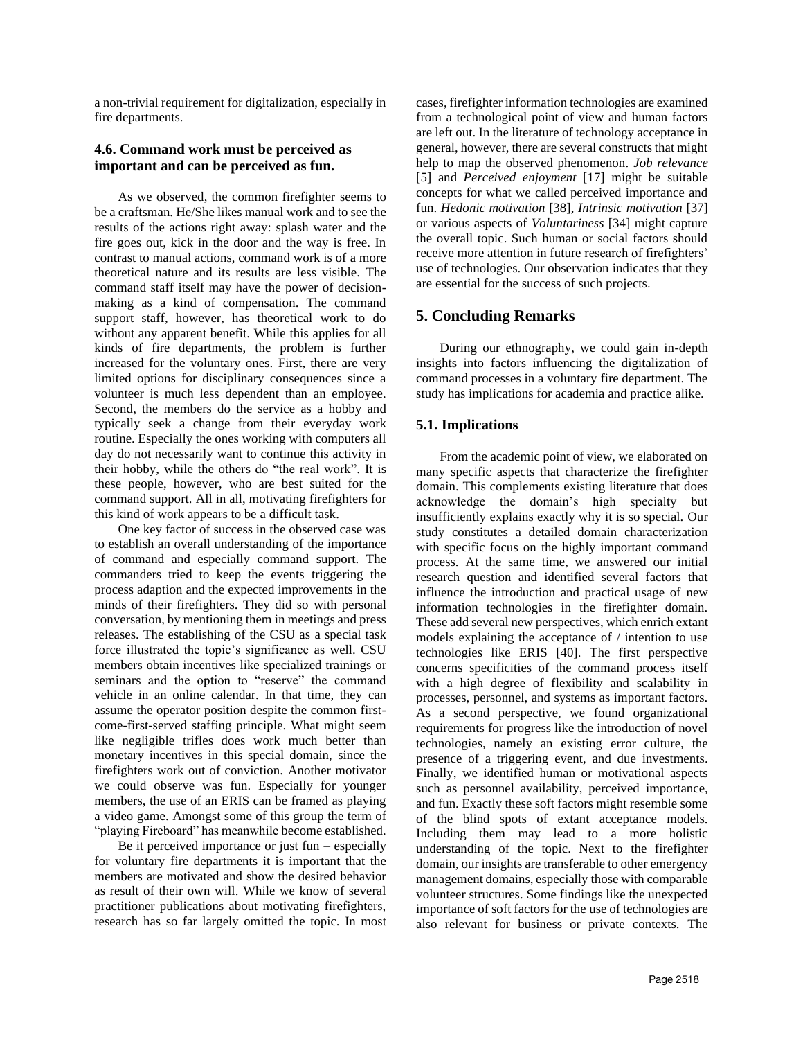a non-trivial requirement for digitalization, especially in fire departments.

### **4.6. Command work must be perceived as important and can be perceived as fun.**

As we observed, the common firefighter seems to be a craftsman. He/She likes manual work and to see the results of the actions right away: splash water and the fire goes out, kick in the door and the way is free. In contrast to manual actions, command work is of a more theoretical nature and its results are less visible. The command staff itself may have the power of decisionmaking as a kind of compensation. The command support staff, however, has theoretical work to do without any apparent benefit. While this applies for all kinds of fire departments, the problem is further increased for the voluntary ones. First, there are very limited options for disciplinary consequences since a volunteer is much less dependent than an employee. Second, the members do the service as a hobby and typically seek a change from their everyday work routine. Especially the ones working with computers all day do not necessarily want to continue this activity in their hobby, while the others do "the real work". It is these people, however, who are best suited for the command support. All in all, motivating firefighters for this kind of work appears to be a difficult task.

One key factor of success in the observed case was to establish an overall understanding of the importance of command and especially command support. The commanders tried to keep the events triggering the process adaption and the expected improvements in the minds of their firefighters. They did so with personal conversation, by mentioning them in meetings and press releases. The establishing of the CSU as a special task force illustrated the topic's significance as well. CSU members obtain incentives like specialized trainings or seminars and the option to "reserve" the command vehicle in an online calendar. In that time, they can assume the operator position despite the common firstcome-first-served staffing principle. What might seem like negligible trifles does work much better than monetary incentives in this special domain, since the firefighters work out of conviction. Another motivator we could observe was fun. Especially for younger members, the use of an ERIS can be framed as playing a video game. Amongst some of this group the term of "playing Fireboard" has meanwhile become established.

Be it perceived importance or just fun  $-$  especially for voluntary fire departments it is important that the members are motivated and show the desired behavior as result of their own will. While we know of several practitioner publications about motivating firefighters, research has so far largely omitted the topic. In most cases, firefighter information technologies are examined from a technological point of view and human factors are left out. In the literature of technology acceptance in general, however, there are several constructs that might help to map the observed phenomenon. *Job relevance* [5] and *Perceived enjoyment* [17] might be suitable concepts for what we called perceived importance and fun. *Hedonic motivation* [38], *Intrinsic motivation* [37] or various aspects of *Voluntariness* [34] might capture the overall topic. Such human or social factors should receive more attention in future research of firefighters' use of technologies. Our observation indicates that they are essential for the success of such projects.

# **5. Concluding Remarks**

During our ethnography, we could gain in-depth insights into factors influencing the digitalization of command processes in a voluntary fire department. The study has implications for academia and practice alike.

# **5.1. Implications**

From the academic point of view, we elaborated on many specific aspects that characterize the firefighter domain. This complements existing literature that does acknowledge the domain's high specialty but insufficiently explains exactly why it is so special. Our study constitutes a detailed domain characterization with specific focus on the highly important command process. At the same time, we answered our initial research question and identified several factors that influence the introduction and practical usage of new information technologies in the firefighter domain. These add several new perspectives, which enrich extant models explaining the acceptance of / intention to use technologies like ERIS [40]. The first perspective concerns specificities of the command process itself with a high degree of flexibility and scalability in processes, personnel, and systems as important factors. As a second perspective, we found organizational requirements for progress like the introduction of novel technologies, namely an existing error culture, the presence of a triggering event, and due investments. Finally, we identified human or motivational aspects such as personnel availability, perceived importance, and fun. Exactly these soft factors might resemble some of the blind spots of extant acceptance models. Including them may lead to a more holistic understanding of the topic. Next to the firefighter domain, our insights are transferable to other emergency management domains, especially those with comparable volunteer structures. Some findings like the unexpected importance of soft factors for the use of technologies are also relevant for business or private contexts. The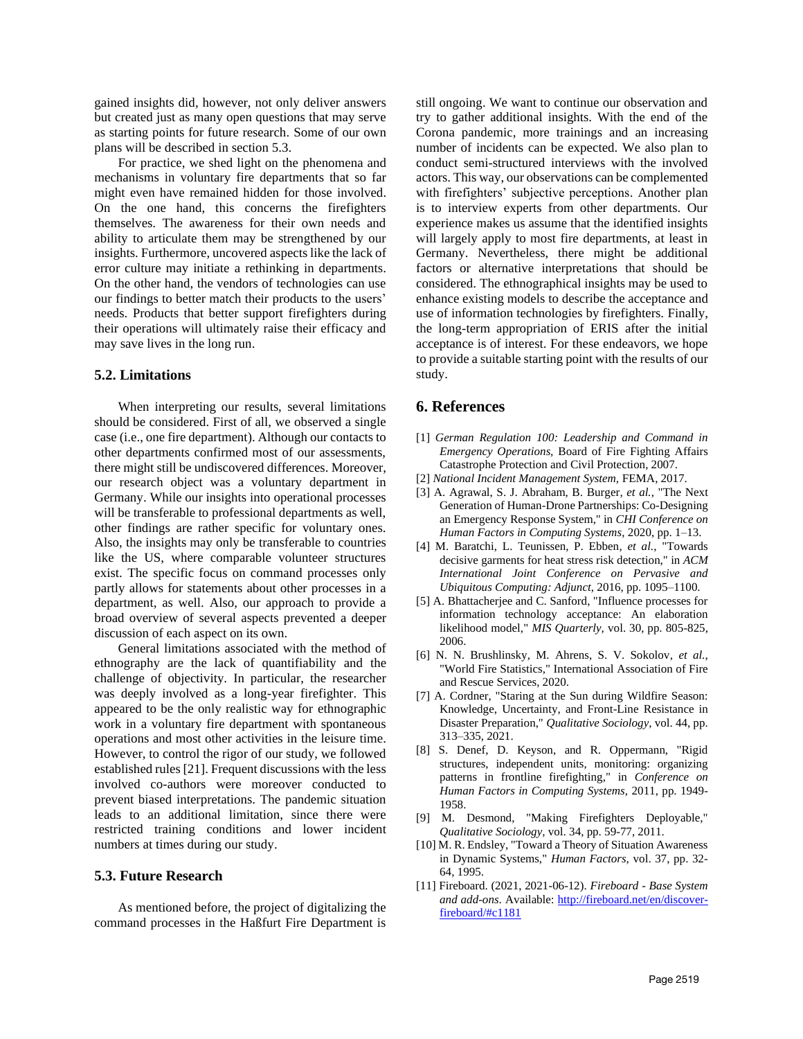gained insights did, however, not only deliver answers but created just as many open questions that may serve as starting points for future research. Some of our own plans will be described in section 5.3.

For practice, we shed light on the phenomena and mechanisms in voluntary fire departments that so far might even have remained hidden for those involved. On the one hand, this concerns the firefighters themselves. The awareness for their own needs and ability to articulate them may be strengthened by our insights. Furthermore, uncovered aspects like the lack of error culture may initiate a rethinking in departments. On the other hand, the vendors of technologies can use our findings to better match their products to the users' needs. Products that better support firefighters during their operations will ultimately raise their efficacy and may save lives in the long run.

#### **5.2. Limitations**

When interpreting our results, several limitations should be considered. First of all, we observed a single case (i.e., one fire department). Although our contacts to other departments confirmed most of our assessments, there might still be undiscovered differences. Moreover, our research object was a voluntary department in Germany. While our insights into operational processes will be transferable to professional departments as well, other findings are rather specific for voluntary ones. Also, the insights may only be transferable to countries like the US, where comparable volunteer structures exist. The specific focus on command processes only partly allows for statements about other processes in a department, as well. Also, our approach to provide a broad overview of several aspects prevented a deeper discussion of each aspect on its own.

General limitations associated with the method of ethnography are the lack of quantifiability and the challenge of objectivity. In particular, the researcher was deeply involved as a long-year firefighter. This appeared to be the only realistic way for ethnographic work in a voluntary fire department with spontaneous operations and most other activities in the leisure time. However, to control the rigor of our study, we followed established rules [21]. Frequent discussions with the less involved co-authors were moreover conducted to prevent biased interpretations. The pandemic situation leads to an additional limitation, since there were restricted training conditions and lower incident numbers at times during our study.

#### **5.3. Future Research**

As mentioned before, the project of digitalizing the command processes in the Haßfurt Fire Department is still ongoing. We want to continue our observation and try to gather additional insights. With the end of the Corona pandemic, more trainings and an increasing number of incidents can be expected. We also plan to conduct semi-structured interviews with the involved actors. This way, our observations can be complemented with firefighters' subjective perceptions. Another plan is to interview experts from other departments. Our experience makes us assume that the identified insights will largely apply to most fire departments, at least in Germany. Nevertheless, there might be additional factors or alternative interpretations that should be considered. The ethnographical insights may be used to enhance existing models to describe the acceptance and use of information technologies by firefighters. Finally, the long-term appropriation of ERIS after the initial acceptance is of interest. For these endeavors, we hope to provide a suitable starting point with the results of our study.

#### **6. References**

- [1] *German Regulation 100: Leadership and Command in Emergency Operations,* Board of Fire Fighting Affairs Catastrophe Protection and Civil Protection, 2007.
- [2] *National Incident Management System,* FEMA, 2017.
- [3] A. Agrawal, S. J. Abraham, B. Burger*, et al.*, "The Next Generation of Human-Drone Partnerships: Co-Designing an Emergency Response System," in *CHI Conference on Human Factors in Computing Systems*, 2020, pp. 1–13.
- [4] M. Baratchi, L. Teunissen, P. Ebben*, et al.*, "Towards decisive garments for heat stress risk detection," in *ACM International Joint Conference on Pervasive and Ubiquitous Computing: Adjunct*, 2016, pp. 1095–1100.
- [5] A. Bhattacherjee and C. Sanford, "Influence processes for information technology acceptance: An elaboration likelihood model," *MIS Quarterly,* vol. 30, pp. 805-825, 2006.
- [6] N. N. Brushlinsky, M. Ahrens, S. V. Sokolov*, et al.*, "World Fire Statistics," International Association of Fire and Rescue Services, 2020.
- [7] A. Cordner, "Staring at the Sun during Wildfire Season: Knowledge, Uncertainty, and Front-Line Resistance in Disaster Preparation," *Qualitative Sociology,* vol. 44, pp. 313–335, 2021.
- [8] S. Denef, D. Keyson, and R. Oppermann, "Rigid structures, independent units, monitoring: organizing patterns in frontline firefighting," in *Conference on Human Factors in Computing Systems*, 2011, pp. 1949- 1958.
- [9] M. Desmond, "Making Firefighters Deployable," *Qualitative Sociology,* vol. 34, pp. 59-77, 2011.
- [10] M. R. Endsley, "Toward a Theory of Situation Awareness in Dynamic Systems," *Human Factors,* vol. 37, pp. 32- 64, 1995.
- [11] Fireboard. (2021, 2021-06-12). *Fireboard - Base System and add-ons*. Available: [http://fireboard.net/en/discover](http://fireboard.net/en/discover-fireboard/#c1181)[fireboard/#c1181](http://fireboard.net/en/discover-fireboard/#c1181)